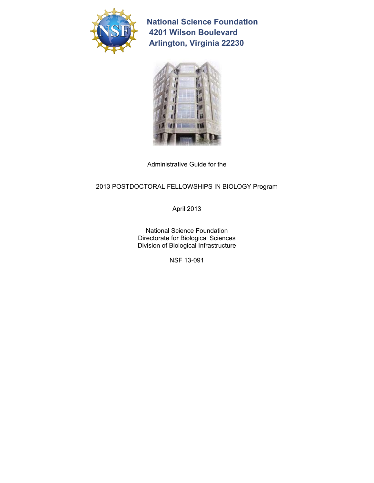

**National Science Foundation 4201 Wilson Boulevard Arlington, Virginia 22230** 



Administrative Guide for the

## 2013 POSTDOCTORAL FELLOWSHIPS IN BIOLOGY Program

April 2013

National Science Foundation Directorate for Biological Sciences Division of Biological Infrastructure

NSF 13-091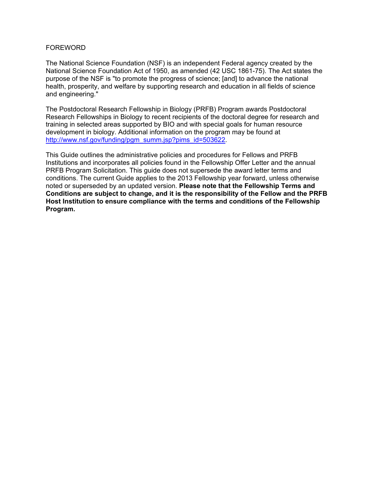#### FOREWORD

The National Science Foundation (NSF) is an independent Federal agency created by the National Science Foundation Act of 1950, as amended (42 USC 1861-75). The Act states the purpose of the NSF is "to promote the progress of science; [and] to advance the national health, prosperity, and welfare by supporting research and education in all fields of science and engineering."

The Postdoctoral Research Fellowship in Biology (PRFB) Program awards Postdoctoral Research Fellowships in Biology to recent recipients of the doctoral degree for research and training in selected areas supported by BIO and with special goals for human resource development in biology. Additional information on the program may be found at http://www.nsf.gov/funding/pgm\_summ.jsp?pims\_id=503622.

This Guide outlines the administrative policies and procedures for Fellows and PRFB Institutions and incorporates all policies found in the Fellowship Offer Letter and the annual PRFB Program Solicitation. This guide does not supersede the award letter terms and conditions. The current Guide applies to the 2013 Fellowship year forward, unless otherwise noted or superseded by an updated version. **Please note that the Fellowship Terms and Conditions are subject to change, and it is the responsibility of the Fellow and the PRFB Host Institution to ensure compliance with the terms and conditions of the Fellowship Program.**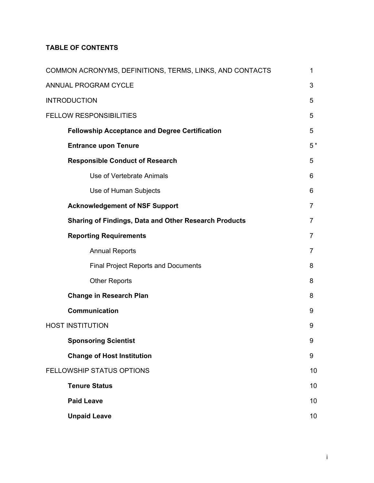## **TABLE OF CONTENTS**

| COMMON ACRONYMS, DEFINITIONS, TERMS, LINKS, AND CONTACTS     | 1              |  |
|--------------------------------------------------------------|----------------|--|
| ANNUAL PROGRAM CYCLE                                         |                |  |
| <b>INTRODUCTION</b>                                          |                |  |
| <b>FELLOW RESPONSIBILITIES</b>                               |                |  |
| <b>Fellowship Acceptance and Degree Certification</b>        | 5              |  |
| <b>Entrance upon Tenure</b>                                  | 5 <sup>1</sup> |  |
| <b>Responsible Conduct of Research</b>                       | 5              |  |
| Use of Vertebrate Animals                                    | 6              |  |
| Use of Human Subjects                                        | 6              |  |
| <b>Acknowledgement of NSF Support</b>                        | 7              |  |
| <b>Sharing of Findings, Data and Other Research Products</b> | 7              |  |
| <b>Reporting Requirements</b>                                | 7              |  |
| <b>Annual Reports</b>                                        | 7              |  |
| <b>Final Project Reports and Documents</b>                   | 8              |  |
| <b>Other Reports</b>                                         | 8              |  |
| <b>Change in Research Plan</b>                               | 8              |  |
| <b>Communication</b>                                         | 9              |  |
| <b>HOST INSTITUTION</b>                                      | 9              |  |
| <b>Sponsoring Scientist</b>                                  | 9              |  |
| <b>Change of Host Institution</b>                            | 9              |  |
| FELLOWSHIP STATUS OPTIONS                                    | 10             |  |
| <b>Tenure Status</b>                                         | 10             |  |
| <b>Paid Leave</b>                                            | 10             |  |
| <b>Unpaid Leave</b>                                          | 10             |  |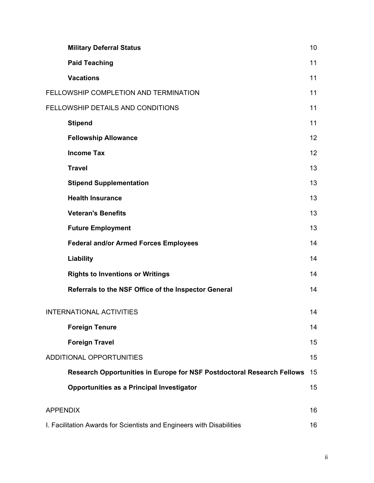| <b>Military Deferral Status</b>                                        | 10 |
|------------------------------------------------------------------------|----|
| <b>Paid Teaching</b>                                                   | 11 |
| <b>Vacations</b>                                                       | 11 |
| FELLOWSHIP COMPLETION AND TERMINATION                                  |    |
| FELLOWSHIP DETAILS AND CONDITIONS                                      |    |
| <b>Stipend</b>                                                         | 11 |
| <b>Fellowship Allowance</b>                                            | 12 |
| <b>Income Tax</b>                                                      | 12 |
| <b>Travel</b>                                                          | 13 |
| <b>Stipend Supplementation</b>                                         |    |
| <b>Health Insurance</b>                                                | 13 |
| <b>Veteran's Benefits</b>                                              | 13 |
| <b>Future Employment</b>                                               | 13 |
| <b>Federal and/or Armed Forces Employees</b>                           | 14 |
| Liability                                                              |    |
| <b>Rights to Inventions or Writings</b>                                | 14 |
| Referrals to the NSF Office of the Inspector General                   | 14 |
| INTERNATIONAL ACTIVITIES                                               | 14 |
| <b>Foreign Tenure</b>                                                  | 14 |
| <b>Foreign Travel</b>                                                  | 15 |
| ADDITIONAL OPPORTUNITIES                                               | 15 |
| Research Opportunities in Europe for NSF Postdoctoral Research Fellows | 15 |
| Opportunities as a Principal Investigator                              | 15 |
| <b>APPENDIX</b>                                                        | 16 |
| I. Facilitation Awards for Scientists and Engineers with Disabilities  |    |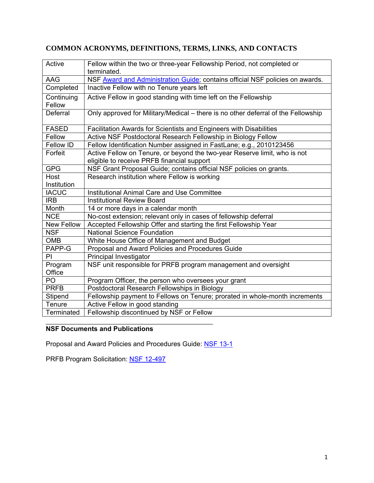| Active            | Fellow within the two or three-year Fellowship Period, not completed or<br>terminated. |
|-------------------|----------------------------------------------------------------------------------------|
| AAG               | NSF Award and Administration Guide; contains official NSF policies on awards.          |
| Completed         | Inactive Fellow with no Tenure years left                                              |
| Continuing        | Active Fellow in good standing with time left on the Fellowship                        |
| Fellow            |                                                                                        |
| Deferral          | Only approved for Military/Medical – there is no other deferral of the Fellowship      |
| <b>FASED</b>      | Facilitation Awards for Scientists and Engineers with Disabilities                     |
| Fellow            | Active NSF Postdoctoral Research Fellowship in Biology Fellow                          |
| Fellow ID         | Fellow Identification Number assigned in FastLane; e.g., 2010123456                    |
| Forfeit           | Active Fellow on Tenure, or beyond the two-year Reserve limit, who is not              |
|                   | eligible to receive PRFB financial support                                             |
| <b>GPG</b>        | NSF Grant Proposal Guide; contains official NSF policies on grants.                    |
| Host              | Research institution where Fellow is working                                           |
| Institution       |                                                                                        |
| <b>IACUC</b>      | Institutional Animal Care and Use Committee                                            |
| <b>IRB</b>        | <b>Institutional Review Board</b>                                                      |
| Month             | 14 or more days in a calendar month                                                    |
| <b>NCE</b>        | No-cost extension; relevant only in cases of fellowship deferral                       |
| <b>New Fellow</b> | Accepted Fellowship Offer and starting the first Fellowship Year                       |
| <b>NSF</b>        | <b>National Science Foundation</b>                                                     |
| <b>OMB</b>        | White House Office of Management and Budget                                            |
| PAPP-G            | Proposal and Award Policies and Procedures Guide                                       |
| PI                | Principal Investigator                                                                 |
| Program           | NSF unit responsible for PRFB program management and oversight                         |
| Office            |                                                                                        |
| P <sub>O</sub>    | Program Officer, the person who oversees your grant                                    |
| <b>PRFB</b>       | Postdoctoral Research Fellowships in Biology                                           |
| Stipend           | Fellowship payment to Fellows on Tenure; prorated in whole-month increments            |
| Tenure            | Active Fellow in good standing                                                         |
| Terminated        | Fellowship discontinued by NSF or Fellow                                               |

# **COMMON ACRONYMS, DEFINITIONS, TERMS, LINKS, AND CONTACTS**

# **NSF Documents and Publications**

Proposal and Award Policies and Procedures Guide: [NSF 13-1](http://www.nsf.gov/publications/pub_summ.jsp?ods_key=nsf131) 

PRFB Program Solicitation: NSF 12-497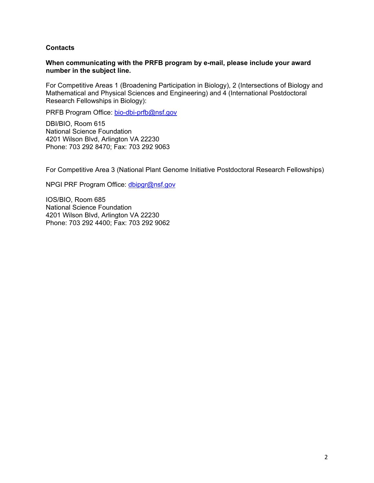#### **Contacts**

#### **When communicating with the PRFB program by e-mail, please include your award number in the subject line.**

For Competitive Areas 1 (Broadening Participation in Biology), 2 (Intersections of Biology and Mathematical and Physical Sciences and Engineering) and 4 (International Postdoctoral Research Fellowships in Biology):

PRFB Program Office: bio-dbi-prfb@nsf.gov

DBI/BIO, Room 615 National Science Foundation 4201 Wilson Blvd, Arlington VA 22230 Phone: 703 292 8470; Fax: 703 292 9063

For Competitive Area 3 (National Plant Genome Initiative Postdoctoral Research Fellowships)

NPGI PRF Program Office: [dbipgr@nsf.gov](mailto:dbipgr@nsf.gov) 

IOS/BIO, Room 685 National Science Foundation 4201 Wilson Blvd, Arlington VA 22230 Phone: 703 292 4400; Fax: 703 292 9062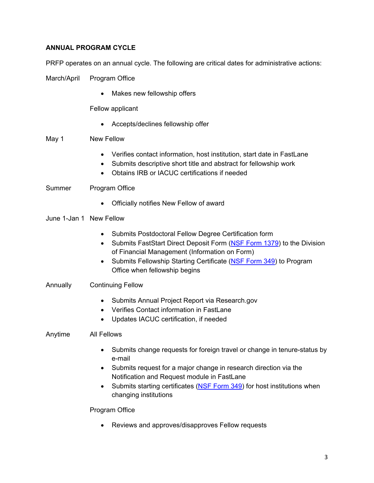## **ANNUAL PROGRAM CYCLE**

PRFP operates on an annual cycle. The following are critical dates for administrative actions:

March/April Program Office

• Makes new fellowship offers

Fellow applicant

Accepts/declines fellowship offer

## May 1 New Fellow

- Verifies contact information, host institution, start date in FastLane
- Submits descriptive short title and abstract for fellowship work
- Obtains IRB or IACUC certifications if needed

#### Summer Program Office

Officially notifies New Fellow of award

#### June 1-Jan 1 New Fellow

- Submits Postdoctoral Fellow Degree Certification form
- Submits FastStart Direct Deposit Form [\(NSF Form 1379\)](http://www.nsf.gov/publications/pub_summ.jsp?ods_key=faststartfm1379) to the Division of Financial Management (Information on Form)
- Submits Fellowship Starting Certificate [\(NSF Form 349\) t](http://www.nsf.gov/publications/pub_summ.jsp?ods_key=fellowstartcertfm349)o Program Office when fellowship begins

## Annually Continuing Fellow

- Submits Annual Project Report via Research.gov
- Verifies Contact information in FastLane
- Updates IACUC certification, if needed

#### Anytime All Fellows

- Submits change requests for foreign travel or change in tenure-status by e-mail
- Submits request for a major change in research direction via the Notification and Request module in FastLane
- Submits starting certificates ([NSF Form 349\)](http://www.nsf.gov/publications/pub_summ.jsp?ods_key=fellowstartcertfm349) for host institutions when changing institutions

#### Program Office

Reviews and approves/disapproves Fellow requests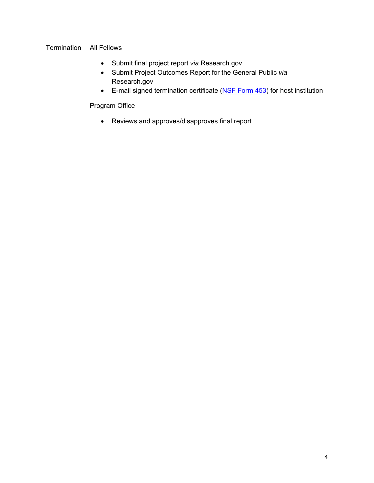## Termination All Fellows

- Submit final project report *via* Research.gov
- Submit Project Outcomes Report for the General Public *via*  Research.gov
- E-mail signed termination certificate [\(NSF Form 453\)](http://www.nsf.gov/publications/pub_summ.jsp?ods_key=fellowtermfm453) for host institution

Program Office

Reviews and approves/disapproves final report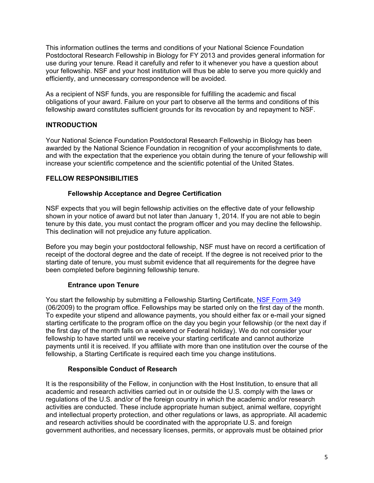This information outlines the terms and conditions of your National Science Foundation Postdoctoral Research Fellowship in Biology for FY 2013 and provides general information for use during your tenure. Read it carefully and refer to it whenever you have a question about your fellowship. NSF and your host institution will thus be able to serve you more quickly and efficiently, and unnecessary correspondence will be avoided.

As a recipient of NSF funds, you are responsible for fulfilling the academic and fiscal obligations of your award. Failure on your part to observe all the terms and conditions of this fellowship award constitutes sufficient grounds for its revocation by and repayment to NSF.

## **INTRODUCTION**

 increase your scientific competence and the scientific potential of the United States. Your National Science Foundation Postdoctoral Research Fellowship in Biology has been awarded by the National Science Foundation in recognition of your accomplishments to date, and with the expectation that the experience you obtain during the tenure of your fellowship will

## **FELLOW RESPONSIBILITIES**

## **Fellowship Acceptance and Degree Certification**

NSF expects that you will begin fellowship activities on the effective date of your fellowship shown in your notice of award but not later than January 1, 2014. If you are not able to begin tenure by this date, you must contact the program officer and you may decline the fellowship. This declination will not prejudice any future application.

Before you may begin your postdoctoral fellowship, NSF must have on record a certification of receipt of the doctoral degree and the date of receipt. If the degree is not received prior to the starting date of tenure, you must submit evidence that all requirements for the degree have been completed before beginning fellowship tenure.

## **Entrance upon Tenure**

You start the fellowship by submitting a Fellowship Starting Certificate, NSF Form 349 (06/2009) to the program office. Fellowships may be started only on the first day of the month. To expedite your stipend and allowance payments, you should either fax or e-mail your signed starting certificate to the program office on the day you begin your fellowship (or the next day if the first day of the month falls on a weekend or Federal holiday). We do not consider your fellowship to have started until we receive your starting certificate and cannot authorize payments until it is received. If you affiliate with more than one institution over the course of the fellowship, a Starting Certificate is required each time you change institutions.

## **Responsible Conduct of Research**

It is the responsibility of the Fellow, in conjunction with the Host Institution, to ensure that all academic and research activities carried out in or outside the U.S. comply with the laws or regulations of the U.S. and/or of the foreign country in which the academic and/or research activities are conducted. These include appropriate human subject, animal welfare, copyright and intellectual property protection, and other regulations or laws, as appropriate. All academic and research activities should be coordinated with the appropriate U.S. and foreign government authorities, and necessary licenses, permits, or approvals must be obtained prior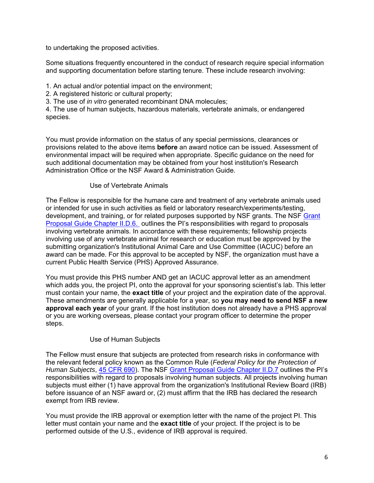to undertaking the proposed activities.

Some situations frequently encountered in the conduct of research require special information and supporting documentation before starting tenure. These include research involving:

1. An actual and/or potential impact on the environment;

2. A registered historic or cultural property;

3. The use of *in vitro* generated recombinant DNA molecules;

4. The use of human subjects, hazardous materials, vertebrate animals, or endangered species.

You must provide information on the status of any special permissions, clearances or provisions related to the above items **before** an award notice can be issued. Assessment of environmental impact will be required when appropriate. Specific guidance on the need for such additional documentation may be obtained from your host institution's Research Administration Office or the NSF Award & Administration Guide.

## Use of Vertebrate Animals

The Fellow is responsible for the humane care and treatment of any vertebrate animals used or intended for use in such activities as field or laboratory research/experiments/testing, development, and training, or for related purposes supported by NSF grants. The NSF [Grant](http://www.nsf.gov/pubs/policydocs/pappguide/nsf11001/gpg_2.jsp#IID7)  [Proposal Guide Chapter II.D.6.](http://www.nsf.gov/pubs/policydocs/pappguide/nsf11001/gpg_2.jsp#IID7) outlines the PI's responsibilities with regard to proposals involving vertebrate animals. In accordance with these requirements; fellowship projects involving use of any vertebrate animal for research or education must be approved by the submitting organization's Institutional Animal Care and Use Committee (IACUC) before an award can be made. For this approval to be accepted by NSF, the organization must have a current Public Health Service (PHS) Approved Assurance.

You must provide this PHS number AND get an IACUC approval letter as an amendment which adds you, the project PI, onto the approval for your sponsoring scientist's lab. This letter must contain your name, the **exact title** of your project and the expiration date of the approval. These amendments are generally applicable for a year, so **you may need to send NSF a new approval each year** of your grant. If the host institution does not already have a PHS approval or you are working overseas, please contact your program officer to determine the proper steps.

## Use of Human Subjects

The Fellow must ensure that subjects are protected from research risks in conformance with the relevant federal policy known as the Common Rule (*Federal Policy for the Protection of Human Subjects*, [45 CFR 690\).](http://www.gpo.gov/fdsys/pkg/CFR-1999-title45-vol3/pdf/CFR-1999-title45-vol3-part690.pdf) The NSF [Grant Proposal Guide Chapter II.D.7](http://www.nsf.gov/pubs/policydocs/pappguide/nsf11001/gpg_2.jsp#IID7) outlines the PI's responsibilities with regard to proposals involving human subjects. All projects involving human subjects must either (1) have approval from the organization's Institutional Review Board (IRB) before issuance of an NSF award or, (2) must affirm that the IRB has declared the research exempt from IRB review.

You must provide the IRB approval or exemption letter with the name of the project PI. This letter must contain your name and the **exact title** of your project. If the project is to be performed outside of the U.S., evidence of IRB approval is required.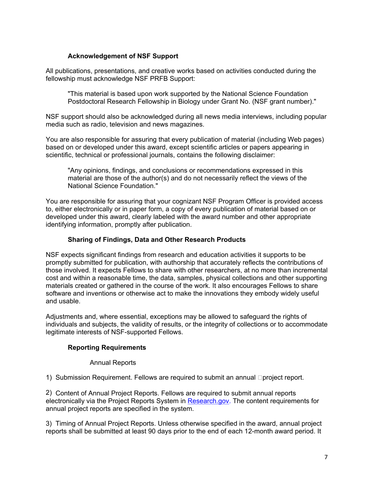## **Acknowledgement of NSF Support**

All publications, presentations, and creative works based on activities conducted during the fellowship must acknowledge NSF PRFB Support:

"This material is based upon work supported by the National Science Foundation Postdoctoral Research Fellowship in Biology under Grant No. (NSF grant number)."

NSF support should also be acknowledged during all news media interviews, including popular media such as radio, television and news magazines.

You are also responsible for assuring that every publication of material (including Web pages) based on or developed under this award, except scientific articles or papers appearing in scientific, technical or professional journals, contains the following disclaimer:

"Any opinions, findings, and conclusions or recommendations expressed in this material are those of the author(s) and do not necessarily reflect the views of the National Science Foundation."

 identifying information, promptly after publication. You are responsible for assuring that your cognizant NSF Program Officer is provided access to, either electronically or in paper form, a copy of every publication of material based on or developed under this award, clearly labeled with the award number and other appropriate

#### **Sharing of Findings, Data and Other Research Products**

NSF expects significant findings from research and education activities it supports to be promptly submitted for publication, with authorship that accurately reflects the contributions of those involved. It expects Fellows to share with other researchers, at no more than incremental cost and within a reasonable time, the data, samples, physical collections and other supporting materials created or gathered in the course of the work. It also encourages Fellows to share software and inventions or otherwise act to make the innovations they embody widely useful and usable.

Adjustments and, where essential, exceptions may be allowed to safeguard the rights of individuals and subjects, the validity of results, or the integrity of collections or to accommodate legitimate interests of NSF-supported Fellows.

#### **Reporting Requirements**

#### Annual Reports

1) Submission Requirement. Fellows are required to submit an annual  $\Box$ project report.

2) Content of Annual Project Reports. Fellows are required to submit annual reports electronically via the Project Reports System in [Research.gov.](http://www.research.gov/) The content requirements for annual project reports are specified in the system.

3) Timing of Annual Project Reports. Unless otherwise specified in the award, annual project reports shall be submitted at least 90 days prior to the end of each 12-month award period. It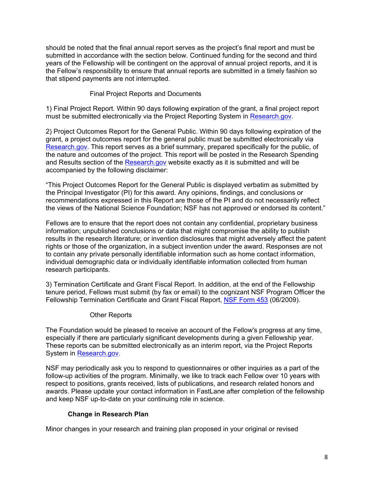should be noted that the final annual report serves as the project's final report and must be submitted in accordance with the section below. Continued funding for the second and third years of the Fellowship will be contingent on the approval of annual project reports, and it is the Fellow's responsibility to ensure that annual reports are submitted in a timely fashion so that stipend payments are not interrupted.

#### Final Project Reports and Documents

1) Final Project Report. Within 90 days following expiration of the grant, a final project report must be submitted electronically via the Project Reporting System i[n Research.gov.](http://www.research.gov/) 

2) Project Outcomes Report for the General Public. Within 90 days following expiration of the grant, a project outcomes report for the general public must be submitted electronically via [Research.gov. Th](http://www.research.gov/)is report serves as a brief summary, prepared specifically for the public, of the nature and outcomes of the project. This report will be posted in the Research Spending and Results section of th[e Research.gov w](http://www.research.gov/)ebsite exactly as it is submitted and will be accompanied by the following disclaimer:

"This Project Outcomes Report for the General Public is displayed verbatim as submitted by the Principal Investigator (PI) for this award. Any opinions, findings, and conclusions or recommendations expressed in this Report are those of the PI and do not necessarily reflect the views of the National Science Foundation; NSF has not approved or endorsed its content."

Fellows are to ensure that the report does not contain any confidential, proprietary business information; unpublished conclusions or data that might compromise the ability to publish results in the research literature; or invention disclosures that might adversely affect the patent rights or those of the organization, in a subject invention under the award. Responses are not to contain any private personally identifiable information such as home contact information, individual demographic data or individually identifiable information collected from human research participants.

3) Termination Certificate and Grant Fiscal Report. In addition, at the end of the Fellowship tenure period, Fellows must submit (by fax or email) to the cognizant NSF Program Officer the Fellowship Termination Certificate and Grant Fiscal Report[, NSF Form 453 \(](http://www.nsf.gov/publications/pub_summ.jsp?ods_key=fellowtermfm453)06/2009).

#### Other Reports

The Foundation would be pleased to receive an account of the Fellow's progress at any time, especially if there are particularly significant developments during a given Fellowship year. These reports can be submitted electronically as an interim report, via the Project Reports System in [Research.gov.](http://www.research.gov/) 

NSF may periodically ask you to respond to questionnaires or other inquiries as a part of the follow-up activities of the program. Minimally, we like to track each Fellow over 10 years with respect to positions, grants received, lists of publications, and research related honors and awards. Please update your contact information in FastLane after completion of the fellowship and keep NSF up-to-date on your continuing role in science.

#### **Change in Research Plan**

Minor changes in your research and training plan proposed in your original or revised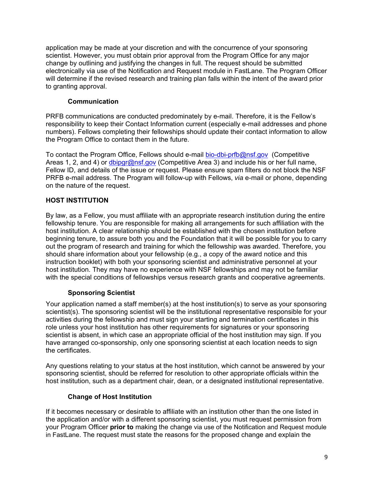application may be made at your discretion and with the concurrence of your sponsoring scientist. However, you must obtain prior approval from the Program Office for any major change by outlining and justifying the changes in full. The request should be submitted electronically via use of the Notification and Request module in FastLane. The Program Officer will determine if the revised research and training plan falls within the intent of the award prior to granting approval.

## **Communication**

PRFB communications are conducted predominately by e-mail. Therefore, it is the Fellow's responsibility to keep their Contact Information current (especially e-mail addresses and phone numbers). Fellows completing their fellowships should update their contact information to allow the Program Office to contact them in the future.

To contact the Program Office, Fellows should e-mail [bio-dbi-prfb@nsf.gov \(C](mailto:bio-dbi-prfb@nsf.gov)ompetitive Areas 1, 2, and 4) or [dbipgr@nsf.gov \(C](mailto:dbipgr@nsf.gov)ompetitive Area 3) and include his or her full name, Fellow ID, and details of the issue or request. Please ensure spam filters do not block the NSF PRFB e-mail address. The Program will follow-up with Fellows, *via* e-mail or phone, depending on the nature of the request.

## **HOST INSTITUTION**

By law, as a Fellow, you must affiliate with an appropriate research institution during the entire fellowship tenure. You are responsible for making all arrangements for such affiliation with the host institution. A clear relationship should be established with the chosen institution before beginning tenure, to assure both you and the Foundation that it will be possible for you to carry out the program of research and training for which the fellowship was awarded. Therefore, you should share information about your fellowship (e.g., a copy of the award notice and this instruction booklet) with both your sponsoring scientist and administrative personnel at your host institution. They may have no experience with NSF fellowships and may not be familiar with the special conditions of fellowships versus research grants and cooperative agreements.

## **Sponsoring Scientist**

Your application named a staff member(s) at the host institution(s) to serve as your sponsoring scientist(s). The sponsoring scientist will be the institutional representative responsible for your activities during the fellowship and must sign your starting and termination certificates in this role unless your host institution has other requirements for signatures or your sponsoring scientist is absent, in which case an appropriate official of the host institution may sign. If you have arranged co-sponsorship, only one sponsoring scientist at each location needs to sign the certificates.

Any questions relating to your status at the host institution, which cannot be answered by your sponsoring scientist, should be referred for resolution to other appropriate officials within the host institution, such as a department chair, dean, or a designated institutional representative.

## **Change of Host Institution**

If it becomes necessary or desirable to affiliate with an institution other than the one listed in the application and/or with a different sponsoring scientist, you must request permission from your Program Officer **prior to** making the change via use of the Notification and Request module in FastLane. The request must state the reasons for the proposed change and explain the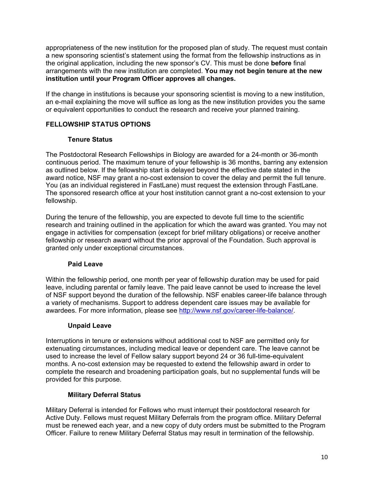**institution until your Program Officer approves all changes.** appropriateness of the new institution for the proposed plan of study. The request must contain a new sponsoring scientist's statement using the format from the fellowship instructions as in the original application, including the new sponsor's CV. This must be done **before** final arrangements with the new institution are completed. **You may not begin tenure at the new** 

 or equivalent opportunities to conduct the research and receive your planned training. If the change in institutions is because your sponsoring scientist is moving to a new institution, an e-mail explaining the move will suffice as long as the new institution provides you the same

## **FELLOWSHIP STATUS OPTIONS**

## **Tenure Status**

The Postdoctoral Research Fellowships in Biology are awarded for a 24-month or 36-month continuous period. The maximum tenure of your fellowship is 36 months, barring any extension as outlined below. If the fellowship start is delayed beyond the effective date stated in the award notice, NSF may grant a no-cost extension to cover the delay and permit the full tenure. You (as an individual registered in FastLane) must request the extension through FastLane. The sponsored research office at your host institution cannot grant a no-cost extension to your fellowship.

During the tenure of the fellowship, you are expected to devote full time to the scientific research and training outlined in the application for which the award was granted. You may not engage in activities for compensation (except for brief military obligations) or receive another fellowship or research award without the prior approval of the Foundation. Such approval is granted only under exceptional circumstances.

## **Paid Leave**

Within the fellowship period, one month per year of fellowship duration may be used for paid leave, including parental or family leave. The paid leave cannot be used to increase the level of NSF support beyond the duration of the fellowship. NSF enables career-life balance through a variety of mechanisms. Support to address dependent care issues may be available for awardees. For more information, please see [http://www.nsf.gov/career-life-balance/.](http://www.nsf.gov/career-life-balance/) 

## **Unpaid Leave**

Interruptions in tenure or extensions without additional cost to NSF are permitted only for extenuating circumstances, including medical leave or dependent care. The leave cannot be used to increase the level of Fellow salary support beyond 24 or 36 full-time-equivalent months. A no-cost extension may be requested to extend the fellowship award in order to complete the research and broadening participation goals, but no supplemental funds will be provided for this purpose.

## **Military Deferral Status**

Military Deferral is intended for Fellows who must interrupt their postdoctoral research for Active Duty. Fellows must request Military Deferrals from the program office. Military Deferral must be renewed each year, and a new copy of duty orders must be submitted to the Program Officer. Failure to renew Military Deferral Status may result in termination of the fellowship.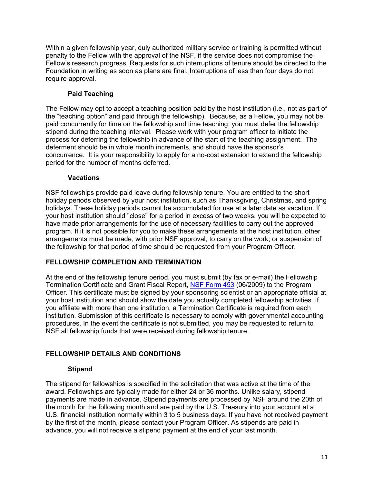Within a given fellowship year, duly authorized military service or training is permitted without penalty to the Fellow with the approval of the NSF, if the service does not compromise the Fellow's research progress. Requests for such interruptions of tenure should be directed to the Foundation in writing as soon as plans are final. Interruptions of less than four days do not require approval.

## **Paid Teaching**

The Fellow may opt to accept a teaching position paid by the host institution (i.e., not as part of the "teaching option" and paid through the fellowship). Because, as a Fellow, you may not be paid concurrently for time on the fellowship and time teaching, you must defer the fellowship stipend during the teaching interval. Please work with your program officer to initiate the process for deferring the fellowship in advance of the start of the teaching assignment. The deferment should be in whole month increments, and should have the sponsor's concurrence. It is your responsibility to apply for a no-cost extension to extend the fellowship period for the number of months deferred.

#### **Vacations**

NSF fellowships provide paid leave during fellowship tenure. You are entitled to the short holiday periods observed by your host institution, such as Thanksgiving, Christmas, and spring holidays. These holiday periods cannot be accumulated for use at a later date as vacation. If your host institution should "close" for a period in excess of two weeks, you will be expected to have made prior arrangements for the use of necessary facilities to carry out the approved program. If it is not possible for you to make these arrangements at the host institution, other arrangements must be made, with prior NSF approval, to carry on the work; or suspension of the fellowship for that period of time should be requested from your Program Officer.

#### **FELLOWSHIP COMPLETION AND TERMINATION**

At the end of the fellowship tenure period, you must submit (by fax or e-mail) the Fellowship Termination Certificate and Grant Fiscal Report, [NSF Form 453 \(](http://www.nsf.gov/publications/pub_summ.jsp?ods_key=fellowtermfm453)06/2009) to the Program Officer. This certificate must be signed by your sponsoring scientist or an appropriate official at your host institution and should show the date you actually completed fellowship activities. If you affiliate with more than one institution, a Termination Certificate is required from each institution. Submission of this certificate is necessary to comply with governmental accounting procedures. In the event the certificate is not submitted, you may be requested to return to NSF all fellowship funds that were received during fellowship tenure.

## **FELLOWSHIP DETAILS AND CONDITIONS**

#### **Stipend**

The stipend for fellowships is specified in the solicitation that was active at the time of the award. Fellowships are typically made for either 24 or 36 months. Unlike salary, stipend payments are made in advance. Stipend payments are processed by NSF around the 20th of the month for the following month and are paid by the U.S. Treasury into your account at a U.S. financial institution normally within 3 to 5 business days. If you have not received payment by the first of the month, please contact your Program Officer. As stipends are paid in advance, you will not receive a stipend payment at the end of your last month.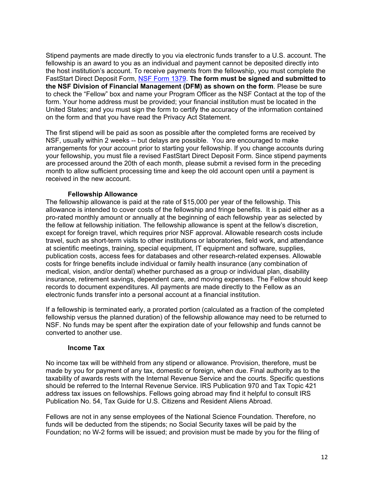Stipend payments are made directly to you via electronic funds transfer to a U.S. account. The fellowship is an award to you as an individual and payment cannot be deposited directly into the host institution's account. To receive payments from the fellowship, you must complete the FastStart Direct Deposit Form[, NSF Form 1379.](http://www.nsf.gov/publications/pub_summ.jsp?ods_key=faststartfm1379) **The form must be signed and submitted to the NSF Division of Financial Management (DFM) as shown on the form**. Please be sure to check the "Fellow" box and name your Program Officer as the NSF Contact at the top of the form. Your home address must be provided; your financial institution must be located in the United States; and you must sign the form to certify the accuracy of the information contained on the form and that you have read the Privacy Act Statement.

The first stipend will be paid as soon as possible after the completed forms are received by NSF, usually within 2 weeks -- but delays are possible. You are encouraged to make arrangements for your account prior to starting your fellowship. If you change accounts during your fellowship, you must file a revised FastStart Direct Deposit Form. Since stipend payments are processed around the 20th of each month, please submit a revised form in the preceding month to allow sufficient processing time and keep the old account open until a payment is received in the new account.

#### **Fellowship Allowance**

The fellowship allowance is paid at the rate of \$15,000 per year of the fellowship. This allowance is intended to cover costs of the fellowship and fringe benefits. It is paid either as a pro-rated monthly amount or annually at the beginning of each fellowship year as selected by the fellow at fellowship initiation. The fellowship allowance is spent at the fellow's discretion, except for foreign travel, which requires prior NSF approval. Allowable research costs include travel, such as short-term visits to other institutions or laboratories, field work, and attendance at scientific meetings, training, special equipment, IT equipment and software, supplies, publication costs, access fees for databases and other research-related expenses. Allowable costs for fringe benefits include individual or family health insurance (any combination of medical, vision, and/or dental) whether purchased as a group or individual plan, disability insurance, retirement savings, dependent care, and moving expenses. The Fellow should keep records to document expenditures. All payments are made directly to the Fellow as an electronic funds transfer into a personal account at a financial institution.

If a fellowship is terminated early, a prorated portion (calculated as a fraction of the completed fellowship versus the planned duration) of the fellowship allowance may need to be returned to NSF. No funds may be spent after the expiration date of your fellowship and funds cannot be converted to another use.

#### **Income Tax**

No income tax will be withheld from any stipend or allowance. Provision, therefore, must be made by you for payment of any tax, domestic or foreign, when due. Final authority as to the taxability of awards rests with the Internal Revenue Service and the courts. Specific questions should be referred to the Internal Revenue Service. IRS Publication 970 and Tax Topic 421 address tax issues on fellowships. Fellows going abroad may find it helpful to consult IRS Publication No. 54, Tax Guide for U.S. Citizens and Resident Aliens Abroad.

Fellows are not in any sense employees of the National Science Foundation. Therefore, no funds will be deducted from the stipends; no Social Security taxes will be paid by the Foundation; no W-2 forms will be issued; and provision must be made by you for the filing of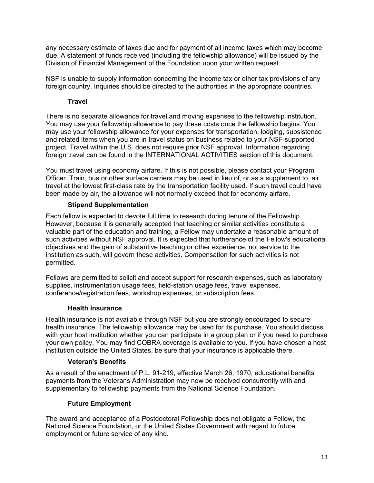any necessary estimate of taxes due and for payment of all income taxes which may become due. A statement of funds received (including the fellowship allowance) will be issued by the Division of Financial Management of the Foundation upon your written request.

NSF is unable to supply information concerning the income tax or other tax provisions of any foreign country. Inquiries should be directed to the authorities in the appropriate countries.

## **Travel**

There is no separate allowance for travel and moving expenses to the fellowship institution. You may use your fellowship allowance to pay these costs once the fellowship begins. You may use your fellowship allowance for your expenses for transportation, lodging, subsistence and related items when you are in travel status on business related to your NSF-supported project. Travel within the U.S. does not require prior NSF approval. Information regarding foreign travel can be found in the INTERNATIONAL ACTIVITIES section of this document.

You must travel using economy airfare. If this is not possible, please contact your Program Officer. Train, bus or other surface carriers may be used in lieu of, or as a supplement to, air travel at the lowest first-class rate by the transportation facility used. If such travel could have been made by air, the allowance will not normally exceed that for economy airfare.

## **Stipend Supplementation**

Each fellow is expected to devote full time to research during tenure of the Fellowship. However, because it is generally accepted that teaching or similar activities constitute a valuable part of the education and training, a Fellow may undertake a reasonable amount of such activities without NSF approval. It is expected that furtherance of the Fellow's educational objectives and the gain of substantive teaching or other experience, not service to the institution as such, will govern these activities. Compensation for such activities is not permitted.

Fellows are permitted to solicit and accept support for research expenses, such as laboratory supplies, instrumentation usage fees, field-station usage fees, travel expenses, conference/registration fees, workshop expenses, or subscription fees.

#### **Health Insurance**

Health insurance is not available through NSF but you are strongly encouraged to secure health insurance. The fellowship allowance may be used for its purchase. You should discuss with your host institution whether you can participate in a group plan or if you need to purchase your own policy. You may find COBRA coverage is available to you. If you have chosen a host institution outside the United States, be sure that your insurance is applicable there.

#### **Veteran's Benefits**

As a result of the enactment of P.L. 91-219, effective March 26, 1970, educational benefits payments from the Veterans Administration may now be received concurrently with and supplementary to fellowship payments from the National Science Foundation.

## **Future Employment**

The award and acceptance of a Postdoctoral Fellowship does not obligate a Fellow, the National Science Foundation, or the United States Government with regard to future employment or future service of any kind.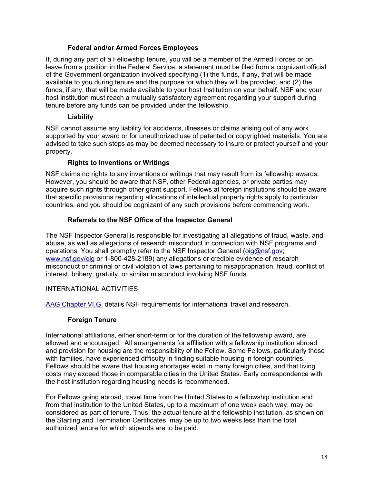#### **Federal and/or Armed Forces Employees**

If, during any part of a Fellowship tenure, you will be a member of the Armed Forces or on leave from a position in the Federal Service, a statement must be filed from a cognizant official of the Government organization involved specifying (1) the funds, if any, that will be made available to you during tenure and the purpose for which they will be provided, and (2) the funds, if any, that will be made available to your host Institution on your behalf. NSF and your host institution must reach a mutually satisfactory agreement regarding your support during tenure before any funds can be provided under the fellowship.

## **Liability**

NSF cannot assume any liability for accidents, illnesses or claims arising out of any work supported by your award or for unauthorized use of patented or copyrighted materials. You are advised to take such steps as may be deemed necessary to insure or protect yourself and your property.

## **Rights to Inventions or Writings**

NSF claims no rights to any inventions or writings that may result from its fellowship awards. However, you should be aware that NSF, other Federal agencies, or private parties may acquire such rights through other grant support. Fellows at foreign institutions should be aware that specific provisions regarding allocations of intellectual property rights apply to particular countries, and you should be cognizant of any such provisions before commencing work.

## **Referrals to the NSF Office of the Inspector General**

The NSF Inspector General is responsible for investigating all allegations of fraud, waste, and abuse, as well as allegations of research misconduct in connection with NSF programs and operations. You shall promptly refer to the NSF Inspector General (oig@nsf.gov; [www.nsf.gov/oig or](http://www.nsf.gov/oig) 1-800-428-2189) any allegations or credible evidence of research misconduct or criminal or civil violation of laws pertaining to misappropriation, fraud, conflict of interest, bribery, gratuity, or similar misconduct involving NSF funds.

## INTERNATIONAL ACTIVITIES

[AAG Chapter VI.G.](http://www.nsf.gov/pubs/policydocs/papp/aag_6.jsp#VIG) details NSF requirements for international travel and research.

## **Foreign Tenure**

International affiliations, either short-term or for the duration of the fellowship award, are allowed and encouraged. All arrangements for affiliation with a fellowship institution abroad and provision for housing are the responsibility of the Fellow. Some Fellows, particularly those with families, have experienced difficulty in finding suitable housing in foreign countries. Fellows should be aware that housing shortages exist in many foreign cities, and that living costs may exceed those in comparable cities in the United States. Early correspondence with the host institution regarding housing needs is recommended.

For Fellows going abroad, travel time from the United States to a fellowship institution and from that institution to the United States, up to a maximum of one week each way, may be considered as part of tenure. Thus, the actual tenure at the fellowship institution, as shown on the Starting and Termination Certificates, may be up to two weeks less than the total authorized tenure for which stipends are to be paid.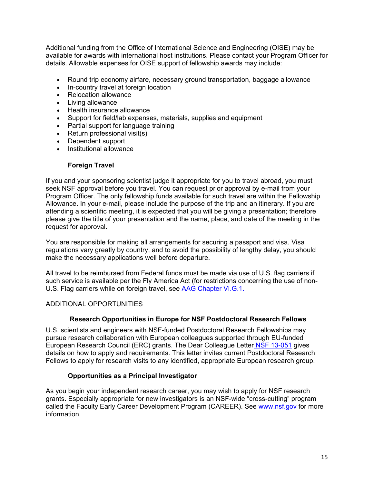Additional funding from the Office of International Science and Engineering (OISE) may be available for awards with international host institutions. Please contact your Program Officer for details. Allowable expenses for OISE support of fellowship awards may include:

- Round trip economy airfare, necessary ground transportation, baggage allowance
- In-country travel at foreign location
- Relocation allowance
- Living allowance
- Health insurance allowance
- Support for field/lab expenses, materials, supplies and equipment
- Partial support for language training
- $\bullet$  Return professional visit(s)
- Dependent support
- Institutional allowance

#### **Foreign Travel**

If you and your sponsoring scientist judge it appropriate for you to travel abroad, you must seek NSF approval before you travel. You can request prior approval by e-mail from your Program Officer. The only fellowship funds available for such travel are within the Fellowship Allowance. In your e-mail, please include the purpose of the trip and an itinerary. If you are attending a scientific meeting, it is expected that you will be giving a presentation; therefore please give the title of your presentation and the name, place, and date of the meeting in the request for approval.

You are responsible for making all arrangements for securing a passport and visa. Visa regulations vary greatly by country, and to avoid the possibility of lengthy delay, you should make the necessary applications well before departure.

U.S. Flag carriers while on foreign travel, see <u>AAG Chapter VI.G.1</u>.<br>ADDITIONAL OPPORTUNITIES All travel to be reimbursed from Federal funds must be made via use of U.S. flag carriers if such service is available per the Fly America Act (for restrictions concerning the use of non-

## **Research Opportunities in Europe for NSF Postdoctoral Research Fellows**

U.S. scientists and engineers with NSF-funded Postdoctoral Research Fellowships may pursue research collaboration with European colleagues supported through EU-funded European Research Council (ERC) grants. The Dear Colleague Letter NSF [13-051 g](http://www.nsf.gov/publications/pub_summ.jsp?ods_key=nsf13051)ives details on how to apply and requirements. This letter invites current Postdoctoral Research Fellows to apply for research visits to any identified, appropriate European research group.

## **Opportunities as a Principal Investigator**

As you begin your independent research career, you may wish to apply for NSF research grants. Especially appropriate for new investigators is an NSF-wide "cross-cutting" program called the Faculty Early Career Development Program (CAREER). See [www.nsf.gov fo](http://www.nsf.gov)r more information.